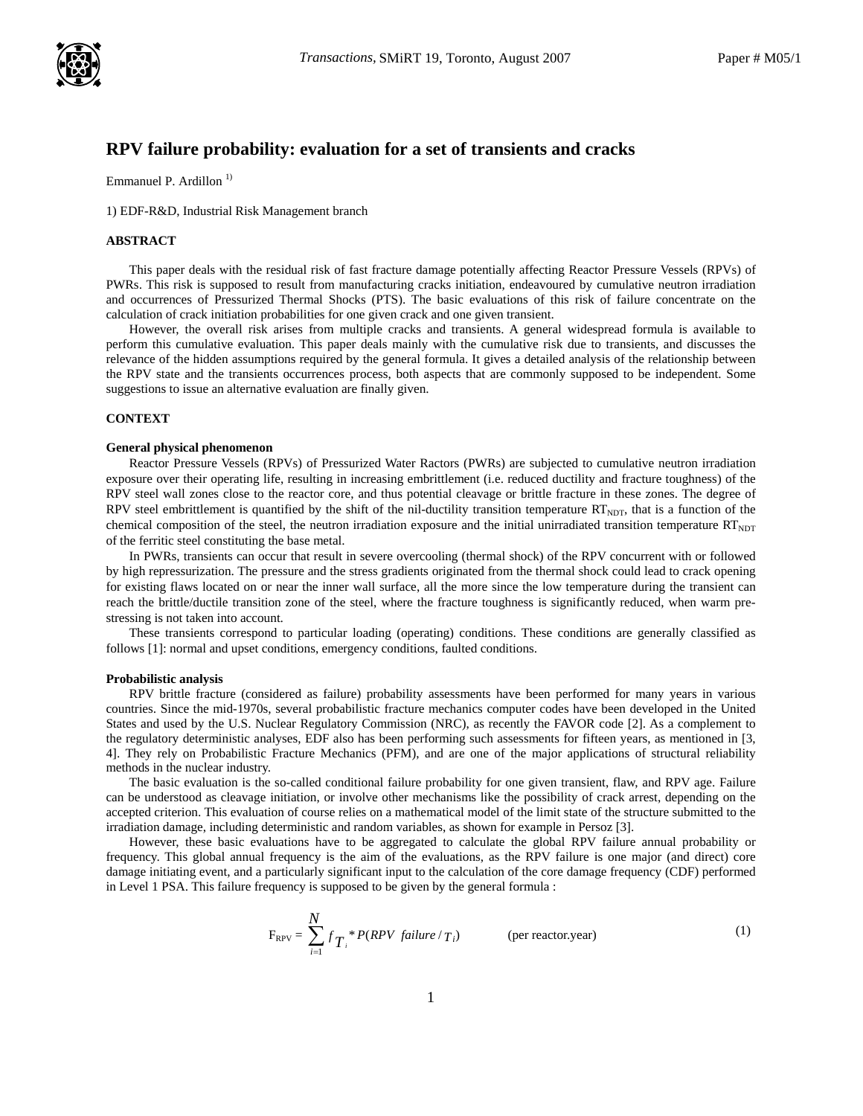

# **RPV failure probability: evaluation for a set of transients and cracks**

Emmanuel P. Ardillon<sup>1)</sup>

1) EDF-R&D, Industrial Risk Management branch

# **ABSTRACT**

This paper deals with the residual risk of fast fracture damage potentially affecting Reactor Pressure Vessels (RPVs) of PWRs. This risk is supposed to result from manufacturing cracks initiation, endeavoured by cumulative neutron irradiation and occurrences of Pressurized Thermal Shocks (PTS). The basic evaluations of this risk of failure concentrate on the calculation of crack initiation probabilities for one given crack and one given transient.

However, the overall risk arises from multiple cracks and transients. A general widespread formula is available to perform this cumulative evaluation. This paper deals mainly with the cumulative risk due to transients, and discusses the relevance of the hidden assumptions required by the general formula. It gives a detailed analysis of the relationship between the RPV state and the transients occurrences process, both aspects that are commonly supposed to be independent. Some suggestions to issue an alternative evaluation are finally given.

# **CONTEXT**

### **General physical phenomenon**

Reactor Pressure Vessels (RPVs) of Pressurized Water Ractors (PWRs) are subjected to cumulative neutron irradiation exposure over their operating life, resulting in increasing embrittlement (i.e. reduced ductility and fracture toughness) of the RPV steel wall zones close to the reactor core, and thus potential cleavage or brittle fracture in these zones. The degree of RPV steel embrittlement is quantified by the shift of the nil-ductility transition temperature  $RT<sub>NDT</sub>$ , that is a function of the chemical composition of the steel, the neutron irradiation exposure and the initial unirradiated transition temperature  $RT<sub>NDT</sub>$ of the ferritic steel constituting the base metal.

In PWRs, transients can occur that result in severe overcooling (thermal shock) of the RPV concurrent with or followed by high repressurization. The pressure and the stress gradients originated from the thermal shock could lead to crack opening for existing flaws located on or near the inner wall surface, all the more since the low temperature during the transient can reach the brittle/ductile transition zone of the steel, where the fracture toughness is significantly reduced, when warm prestressing is not taken into account.

These transients correspond to particular loading (operating) conditions. These conditions are generally classified as follows [1]: normal and upset conditions, emergency conditions, faulted conditions.

### **Probabilistic analysis**

RPV brittle fracture (considered as failure) probability assessments have been performed for many years in various countries. Since the mid-1970s, several probabilistic fracture mechanics computer codes have been developed in the United States and used by the U.S. Nuclear Regulatory Commission (NRC), as recently the FAVOR code [2]. As a complement to the regulatory deterministic analyses, EDF also has been performing such assessments for fifteen years, as mentioned in [3, 4]. They rely on Probabilistic Fracture Mechanics (PFM), and are one of the major applications of structural reliability methods in the nuclear industry.

The basic evaluation is the so-called conditional failure probability for one given transient, flaw, and RPV age. Failure can be understood as cleavage initiation, or involve other mechanisms like the possibility of crack arrest, depending on the accepted criterion. This evaluation of course relies on a mathematical model of the limit state of the structure submitted to the irradiation damage, including deterministic and random variables, as shown for example in Persoz [3].

However, these basic evaluations have to be aggregated to calculate the global RPV failure annual probability or frequency. This global annual frequency is the aim of the evaluations, as the RPV failure is one major (and direct) core damage initiating event, and a particularly significant input to the calculation of the core damage frequency (CDF) performed in Level 1 PSA. This failure frequency is supposed to be given by the general formula :

$$
F_{RPV} = \sum_{i=1}^{N} f_{T_i}^* P(RPV \ failure / T_i)
$$
 (per reactor. year) (1)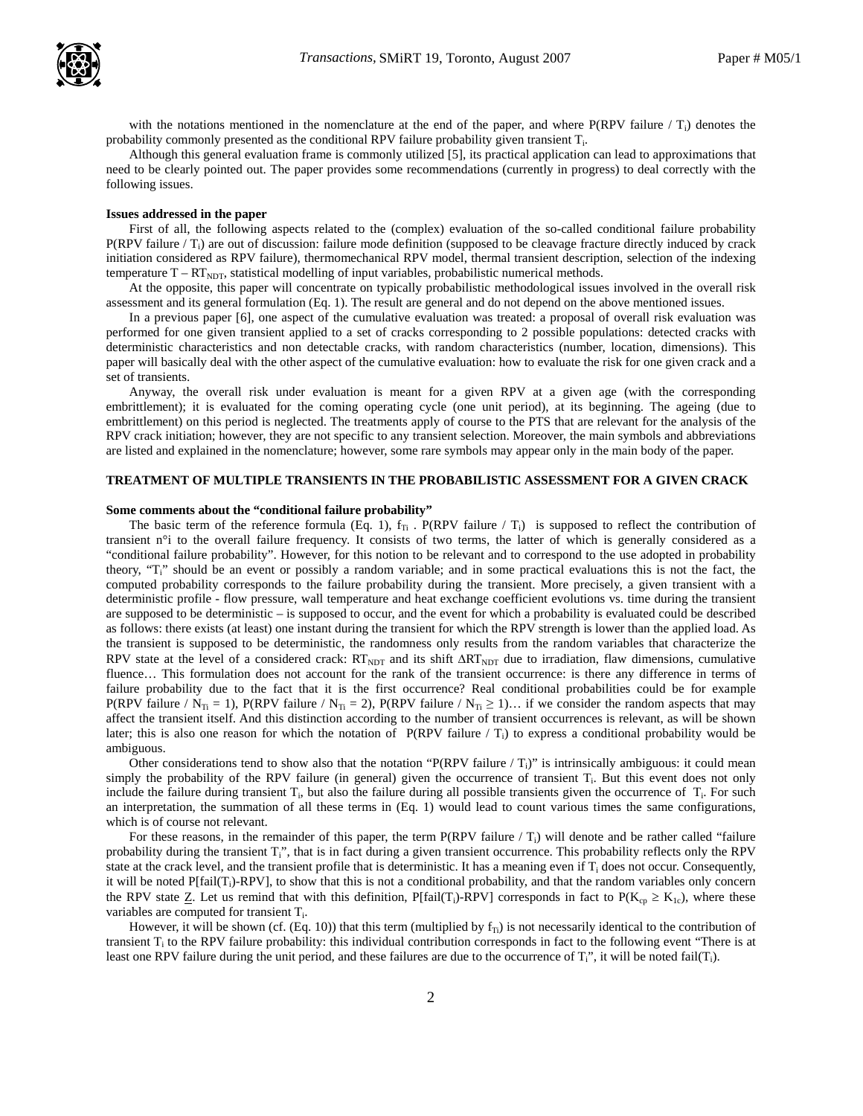

with the notations mentioned in the nomenclature at the end of the paper, and where  $P(RPV)$  failure  $/T_i$ ) denotes the probability commonly presented as the conditional RPV failure probability given transient  $T_i$ .

Although this general evaluation frame is commonly utilized [5], its practical application can lead to approximations that need to be clearly pointed out. The paper provides some recommendations (currently in progress) to deal correctly with the following issues.

#### **Issues addressed in the paper**

First of all, the following aspects related to the (complex) evaluation of the so-called conditional failure probability  $P(RPV failure / T_i)$  are out of discussion: failure mode definition (supposed to be cleavage fracture directly induced by crack initiation considered as RPV failure), thermomechanical RPV model, thermal transient description, selection of the indexing temperature  $T - RT<sub>NDT</sub>$ , statistical modelling of input variables, probabilistic numerical methods.

At the opposite, this paper will concentrate on typically probabilistic methodological issues involved in the overall risk assessment and its general formulation (Eq. 1). The result are general and do not depend on the above mentioned issues.

In a previous paper [6], one aspect of the cumulative evaluation was treated: a proposal of overall risk evaluation was performed for one given transient applied to a set of cracks corresponding to 2 possible populations: detected cracks with deterministic characteristics and non detectable cracks, with random characteristics (number, location, dimensions). This paper will basically deal with the other aspect of the cumulative evaluation: how to evaluate the risk for one given crack and a set of transients.

Anyway, the overall risk under evaluation is meant for a given RPV at a given age (with the corresponding embrittlement); it is evaluated for the coming operating cycle (one unit period), at its beginning. The ageing (due to embrittlement) on this period is neglected. The treatments apply of course to the PTS that are relevant for the analysis of the RPV crack initiation; however, they are not specific to any transient selection. Moreover, the main symbols and abbreviations are listed and explained in the nomenclature; however, some rare symbols may appear only in the main body of the paper.

### **TREATMENT OF MULTIPLE TRANSIENTS IN THE PROBABILISTIC ASSESSMENT FOR A GIVEN CRACK**

### **Some comments about the "conditional failure probability"**

The basic term of the reference formula (Eq. 1),  $f_T$ . P(RPV failure / T<sub>i</sub>) is supposed to reflect the contribution of transient n°i to the overall failure frequency. It consists of two terms, the latter of which is generally considered as a "conditional failure probability". However, for this notion to be relevant and to correspond to the use adopted in probability theory, "Ti" should be an event or possibly a random variable; and in some practical evaluations this is not the fact, the computed probability corresponds to the failure probability during the transient. More precisely, a given transient with a deterministic profile - flow pressure, wall temperature and heat exchange coefficient evolutions vs. time during the transient are supposed to be deterministic – is supposed to occur, and the event for which a probability is evaluated could be described as follows: there exists (at least) one instant during the transient for which the RPV strength is lower than the applied load. As the transient is supposed to be deterministic, the randomness only results from the random variables that characterize the RPV state at the level of a considered crack: RT<sub>NDT</sub> and its shift  $\Delta RT_{NDT}$  due to irradiation, flaw dimensions, cumulative fluence… This formulation does not account for the rank of the transient occurrence: is there any difference in terms of failure probability due to the fact that it is the first occurrence? Real conditional probabilities could be for example P(RPV failure / N<sub>Ti</sub> = 1), P(RPV failure / N<sub>Ti</sub> = 2), P(RPV failure / N<sub>Ti</sub> ≥ 1)… if we consider the random aspects that may affect the transient itself. And this distinction according to the number of transient occurrences is relevant, as will be shown later; this is also one reason for which the notation of  $P(RPV)$  failure / T<sub>i</sub>) to express a conditional probability would be ambiguous.

Other considerations tend to show also that the notation "P(RPV failure  $(T_i)$ " is intrinsically ambiguous: it could mean simply the probability of the RPV failure (in general) given the occurrence of transient  $T_i$ . But this event does not only include the failure during transient  $T_i$ , but also the failure during all possible transients given the occurrence of  $T_i$ . For such an interpretation, the summation of all these terms in (Eq. 1) would lead to count various times the same configurations, which is of course not relevant.

For these reasons, in the remainder of this paper, the term P(RPV failure  $/T<sub>i</sub>$ ) will denote and be rather called "failure probability during the transient  $T_i$ ", that is in fact during a given transient occurrence. This probability reflects only the RPV state at the crack level, and the transient profile that is deterministic. It has a meaning even if  $T_i$  does not occur. Consequently, it will be noted P[fail(T<sub>i</sub>)-RPV], to show that this is not a conditional probability, and that the random variables only concern the RPV state  $Z$ . Let us remind that with this definition, P[fail(T<sub>i</sub>)-RPV] corresponds in fact to P(K<sub>cp</sub>  $\geq K_{1c}$ ), where these variables are computed for transient  $T_i$ .

However, it will be shown (cf. (Eq. 10)) that this term (multiplied by  $f_{Ti}$ ) is not necessarily identical to the contribution of transient  $T_i$  to the RPV failure probability: this individual contribution corresponds in fact to the following event "There is at least one RPV failure during the unit period, and these failures are due to the occurrence of  $T_i$ ", it will be noted fail( $T_i$ ).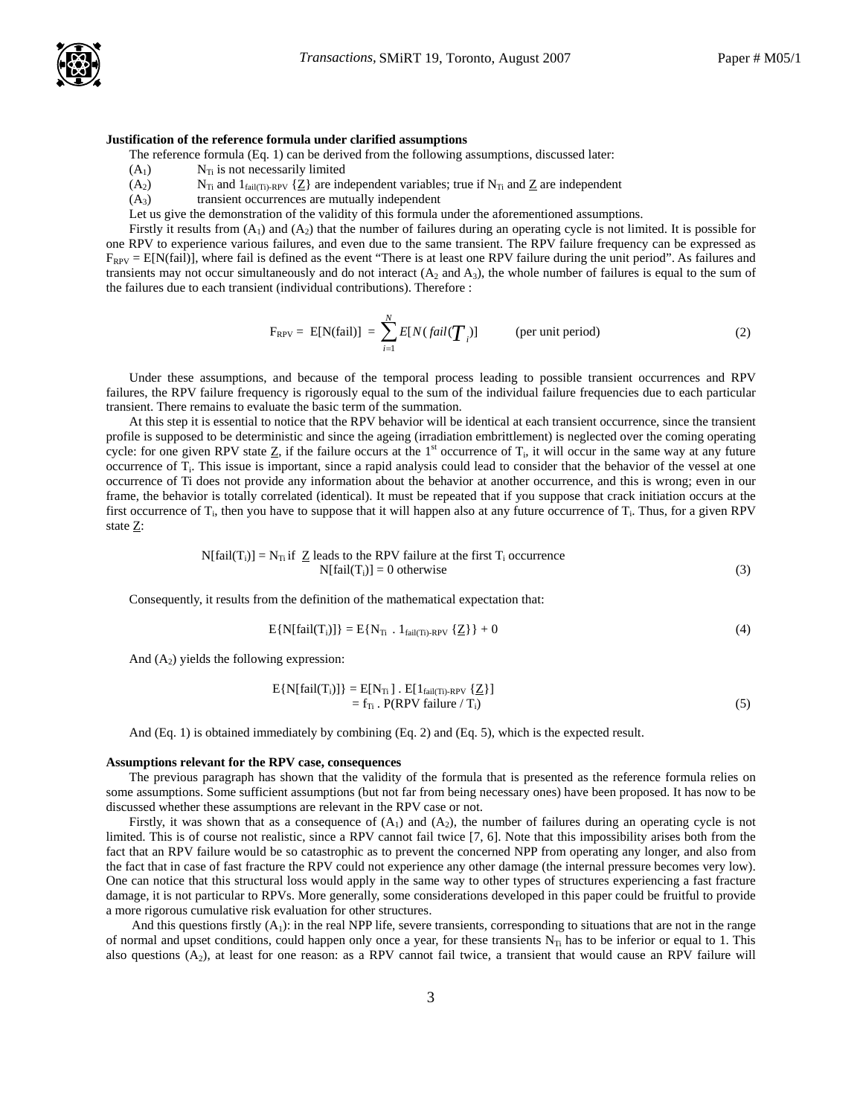### **Justification of the reference formula under clarified assumptions**

The reference formula (Eq. 1) can be derived from the following assumptions, discussed later:

- $(A<sub>1</sub>)$  N<sub>Ti</sub> is not necessarily limited
- (A<sub>2</sub>) N<sub>Ti</sub> and 1<sub>fail(Ti)-RPV</sub>  $\{Z\}$  are independent variables; true if N<sub>Ti</sub> and Z are independent
- $(A<sub>3</sub>)$  transient occurrences are mutually independent

Let us give the demonstration of the validity of this formula under the aforementioned assumptions.

Firstly it results from  $(A_1)$  and  $(A_2)$  that the number of failures during an operating cycle is not limited. It is possible for one RPV to experience various failures, and even due to the same transient. The RPV failure frequency can be expressed as  $F_{RPV} = E[N(fail)],$  where fail is defined as the event "There is at least one RPV failure during the unit period". As failures and transients may not occur simultaneously and do not interact  $(A_2 \text{ and } A_3)$ , the whole number of failures is equal to the sum of the failures due to each transient (individual contributions). Therefore :

$$
F_{\rm RPV} = E[N(fail)] = \sum_{i=1}^{N} E[N(fail(\boldsymbol{T}_i)])
$$
 (per unit period) (2)

Under these assumptions, and because of the temporal process leading to possible transient occurrences and RPV failures, the RPV failure frequency is rigorously equal to the sum of the individual failure frequencies due to each particular transient. There remains to evaluate the basic term of the summation.

At this step it is essential to notice that the RPV behavior will be identical at each transient occurrence, since the transient profile is supposed to be deterministic and since the ageing (irradiation embrittlement) is neglected over the coming operating cycle: for one given RPV state  $Z$ , if the failure occurs at the 1<sup>st</sup> occurrence of  $T_i$ , it will occur in the same way at any future occurrence of  $T_i$ . This issue is important, since a rapid analysis could lead to consider that the behavior of the vessel at one occurrence of Ti does not provide any information about the behavior at another occurrence, and this is wrong; even in our frame, the behavior is totally correlated (identical). It must be repeated that if you suppose that crack initiation occurs at the first occurrence of  $T_i$ , then you have to suppose that it will happen also at any future occurrence of  $T_i$ . Thus, for a given RPV state Z:

$$
N[fail(T_i)] = N_{Ti} \text{ if } \underline{Z} \text{ leads to the RPV failure at the first } T_i \text{ occurrence}
$$
  
 
$$
N[fail(T_i)] = 0 \text{ otherwise}
$$
 (3)

Consequently, it results from the definition of the mathematical expectation that:

$$
E\{N[\text{fail}(T_i)]\} = E\{N_{T_i} \cdot 1_{\text{fail}(T_i)\text{-}RPV} \{\underline{Z}\}\} + 0 \tag{4}
$$

And  $(A_2)$  yields the following expression:

$$
E\{N[fail(T_i)]\} = E[N_{T_i}] \cdot E[1_{fail(T_i) \cdot RPV} \{Z\}]
$$
  
= f<sub>T\_i</sub> \cdot P(RPV failure / T\_i) (5)

And (Eq. 1) is obtained immediately by combining (Eq. 2) and (Eq. 5), which is the expected result.

#### **Assumptions relevant for the RPV case, consequences**

The previous paragraph has shown that the validity of the formula that is presented as the reference formula relies on some assumptions. Some sufficient assumptions (but not far from being necessary ones) have been proposed. It has now to be discussed whether these assumptions are relevant in the RPV case or not.

Firstly, it was shown that as a consequence of  $(A_1)$  and  $(A_2)$ , the number of failures during an operating cycle is not limited. This is of course not realistic, since a RPV cannot fail twice [7, 6]. Note that this impossibility arises both from the fact that an RPV failure would be so catastrophic as to prevent the concerned NPP from operating any longer, and also from the fact that in case of fast fracture the RPV could not experience any other damage (the internal pressure becomes very low). One can notice that this structural loss would apply in the same way to other types of structures experiencing a fast fracture damage, it is not particular to RPVs. More generally, some considerations developed in this paper could be fruitful to provide a more rigorous cumulative risk evaluation for other structures.

And this questions firstly  $(A_1)$ : in the real NPP life, severe transients, corresponding to situations that are not in the range of normal and upset conditions, could happen only once a year, for these transients  $N_{\text{Ti}}$  has to be inferior or equal to 1. This also questions  $(A_2)$ , at least for one reason: as a RPV cannot fail twice, a transient that would cause an RPV failure will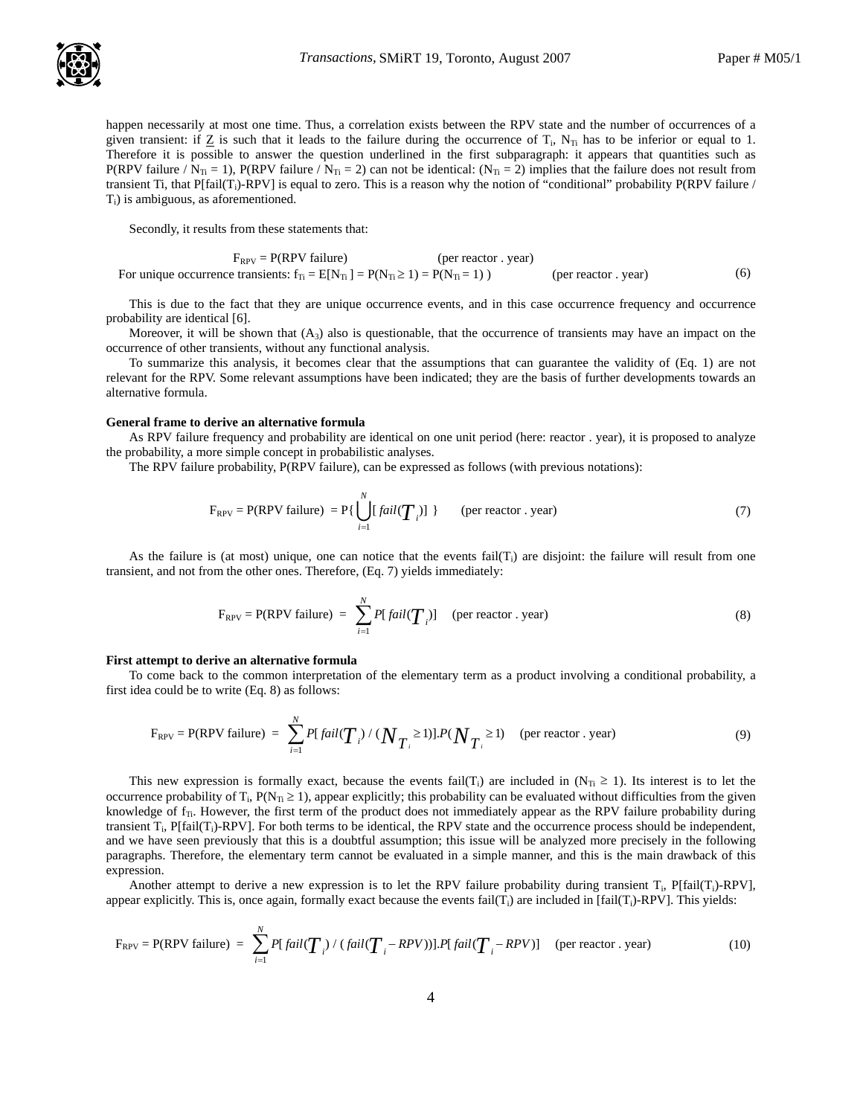

happen necessarily at most one time. Thus, a correlation exists between the RPV state and the number of occurrences of a given transient: if  $Z$  is such that it leads to the failure during the occurrence of  $T_i$ ,  $N_T$  has to be inferior or equal to 1. Therefore it is possible to answer the question underlined in the first subparagraph: it appears that quantities such as P(RPV failure /  $N_{Ti}$  = 1), P(RPV failure /  $N_{Ti}$  = 2) can not be identical: ( $N_{Ti}$  = 2) implies that the failure does not result from transient Ti, that  $P[fail(T_i)-RPV]$  is equal to zero. This is a reason why the notion of "conditional" probability  $P(RPV)$  failure /  $T_i$ ) is ambiguous, as aforementioned.

Secondly, it results from these statements that:

$$
F_{RPV} = P(RPV failure)
$$
 (per reactor . year)  
For unique occurrence transients:  $f_{Ti} = E[N_{Ti}] = P(N_{Ti} \ge 1) = P(N_{Ti} = 1)$  (per reactor . year) (6)

This is due to the fact that they are unique occurrence events, and in this case occurrence frequency and occurrence probability are identical [6].

Moreover, it will be shown that  $(A_3)$  also is questionable, that the occurrence of transients may have an impact on the occurrence of other transients, without any functional analysis.

To summarize this analysis, it becomes clear that the assumptions that can guarantee the validity of (Eq. 1) are not relevant for the RPV. Some relevant assumptions have been indicated; they are the basis of further developments towards an alternative formula.

#### **General frame to derive an alternative formula**

As RPV failure frequency and probability are identical on one unit period (here: reactor . year), it is proposed to analyze the probability, a more simple concept in probabilistic analyses.

The RPV failure probability, P(RPV failure), can be expressed as follows (with previous notations):

$$
F_{RPV} = P(RPV failure) = P\{\bigcup_{i=1}^{N} [fail(T_i)]\}
$$
 (per reactor . year) (7)

As the failure is (at most) unique, one can notice that the events fail( $T_i$ ) are disjoint: the failure will result from one transient, and not from the other ones. Therefore, (Eq. 7) yields immediately:

$$
F_{\text{RPV}} = P(\text{RPV failure}) = \sum_{i=1}^{N} P[fail(\boldsymbol{T}_i)] \quad \text{(per reactor . year)} \tag{8}
$$

### **First attempt to derive an alternative formula**

To come back to the common interpretation of the elementary term as a product involving a conditional probability, a first idea could be to write (Eq. 8) as follows:

$$
F_{RPV} = P(RPV failure) = \sum_{i=1}^{N} P[fail(T_i) / (N_{T_i} \ge 1)].P(N_{T_i} \ge 1) \quad (per reactor . year)
$$
 (9)

This new expression is formally exact, because the events fail(T<sub>i</sub>) are included in (N<sub>Ti</sub> ≥ 1). Its interest is to let the occurrence probability of T<sub>i</sub>,  $P(N_T \ge 1)$ , appear explicitly; this probability can be evaluated without difficulties from the given knowledge of  $f_{\text{Ti}}$ . However, the first term of the product does not immediately appear as the RPV failure probability during transient  $T_i$ , P[fail( $T_i$ )-RPV]. For both terms to be identical, the RPV state and the occurrence process should be independent, and we have seen previously that this is a doubtful assumption; this issue will be analyzed more precisely in the following paragraphs. Therefore, the elementary term cannot be evaluated in a simple manner, and this is the main drawback of this expression.

Another attempt to derive a new expression is to let the RPV failure probability during transient  $T_i$ , P[fail( $T_i$ )-RPV], appear explicitly. This is, once again, formally exact because the events fail( $T_i$ ) are included in [fail( $T_i$ )-RPV]. This yields:

$$
F_{RPV} = P(RPV failure) = \sum_{i=1}^{N} P[fail(T_i) / (fail(T_i - RPV))].P[fail(T_i - RPV)]
$$
 (per reactor . year) (10)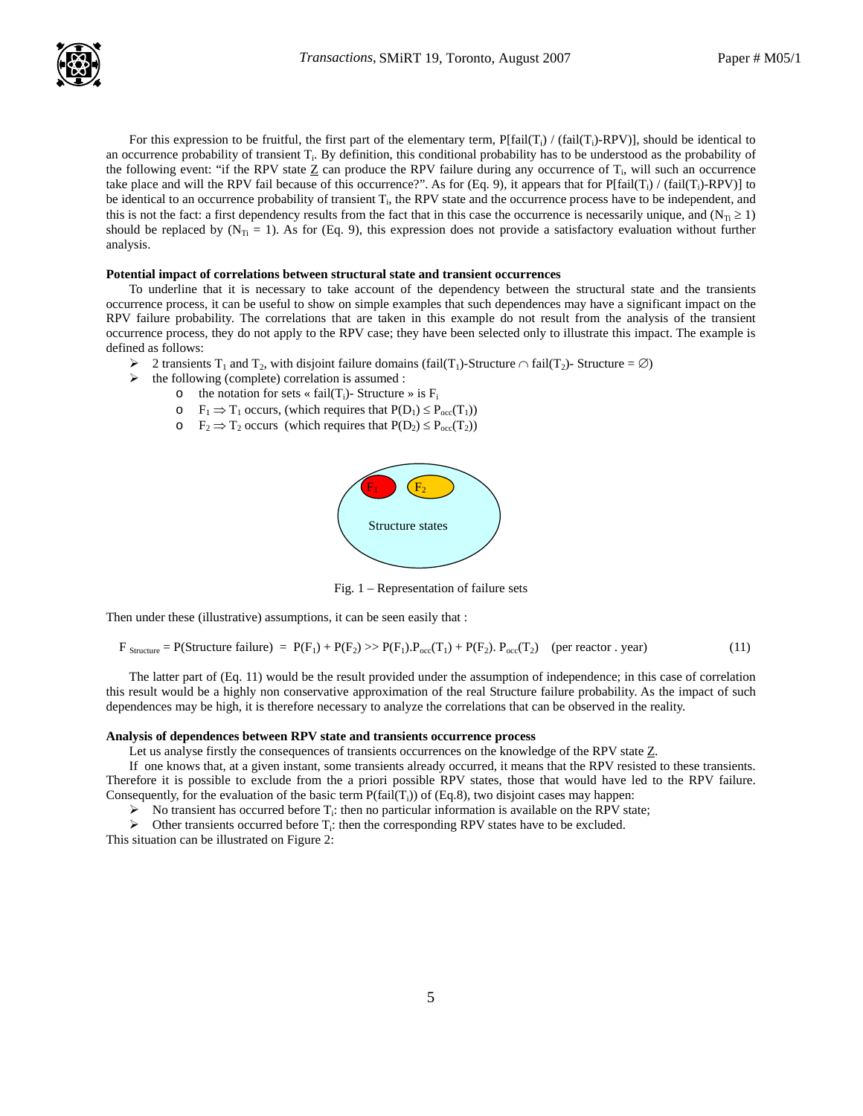For this expression to be fruitful, the first part of the elementary term,  $P[fail(T_i) / (fail(T_i)-RPV)]$ , should be identical to an occurrence probability of transient T<sub>i</sub>. By definition, this conditional probability has to be understood as the probability of the following event: "if the RPV state  $Z$  can produce the RPV failure during any occurrence of  $T_i$ , will such an occurrence take place and will the RPV fail because of this occurrence?". As for (Eq. 9), it appears that for  $P[fail(T_i) / (fail(T_i)-RPV)]$  to be identical to an occurrence probability of transient  $T_i$ , the RPV state and the occurrence process have to be independent, and this is not the fact: a first dependency results from the fact that in this case the occurrence is necessarily unique, and ( $N_T \ge 1$ ) should be replaced by  $(N_{Ti} = 1)$ . As for (Eq. 9), this expression does not provide a satisfactory evaluation without further analysis.

### **Potential impact of correlations between structural state and transient occurrences**

To underline that it is necessary to take account of the dependency between the structural state and the transients occurrence process, it can be useful to show on simple examples that such dependences may have a significant impact on the RPV failure probability. The correlations that are taken in this example do not result from the analysis of the transient occurrence process, they do not apply to the RPV case; they have been selected only to illustrate this impact. The example is defined as follows:

- $\triangleright$  2 transients T<sub>1</sub> and T<sub>2</sub>, with disjoint failure domains (fail(T<sub>1</sub>)-Structure ∩ fail(T<sub>2</sub>)- Structure = ∅)
- $\triangleright$  the following (complete) correlation is assumed :
	- o the notation for sets « fail(T<sub>i</sub>)- Structure » is  $F_i$ 
		- $\circ$  F<sub>1</sub>  $\Rightarrow$  T<sub>1</sub> occurs, (which requires that P(D<sub>1</sub>)  $\leq$  P<sub>occ</sub>(T<sub>1</sub>))
		- $\circ$   $F_2 \Rightarrow T_2$  occurs (which requires that  $P(D_2) \leq P_{\text{occ}}(T_2)$ )



Fig. 1 – Representation of failure sets

Then under these (illustrative) assumptions, it can be seen easily that :

```
F_{\text{Structure}} = P(\text{Structure failure}) = P(F_1) + P(F_2) \gg P(F_1)P_{\text{occ}}(T_1) + P(F_2)P_{\text{occ}}(T_2) (per reactor . year) (11)
```
The latter part of (Eq. 11) would be the result provided under the assumption of independence; in this case of correlation this result would be a highly non conservative approximation of the real Structure failure probability. As the impact of such dependences may be high, it is therefore necessary to analyze the correlations that can be observed in the reality.

# **Analysis of dependences between RPV state and transients occurrence process**

Let us analyse firstly the consequences of transients occurrences on the knowledge of the RPV state Z.

If one knows that, at a given instant, some transients already occurred, it means that the RPV resisted to these transients. Therefore it is possible to exclude from the a priori possible RPV states, those that would have led to the RPV failure. Consequently, for the evaluation of the basic term  $P(fail(T_i))$  of (Eq.8), two disjoint cases may happen:

 $\triangleright$  No transient has occurred before T<sub>i</sub>: then no particular information is available on the RPV state;

 $\triangleright$  Other transients occurred before T<sub>i</sub>: then the corresponding RPV states have to be excluded.

This situation can be illustrated on Figure 2: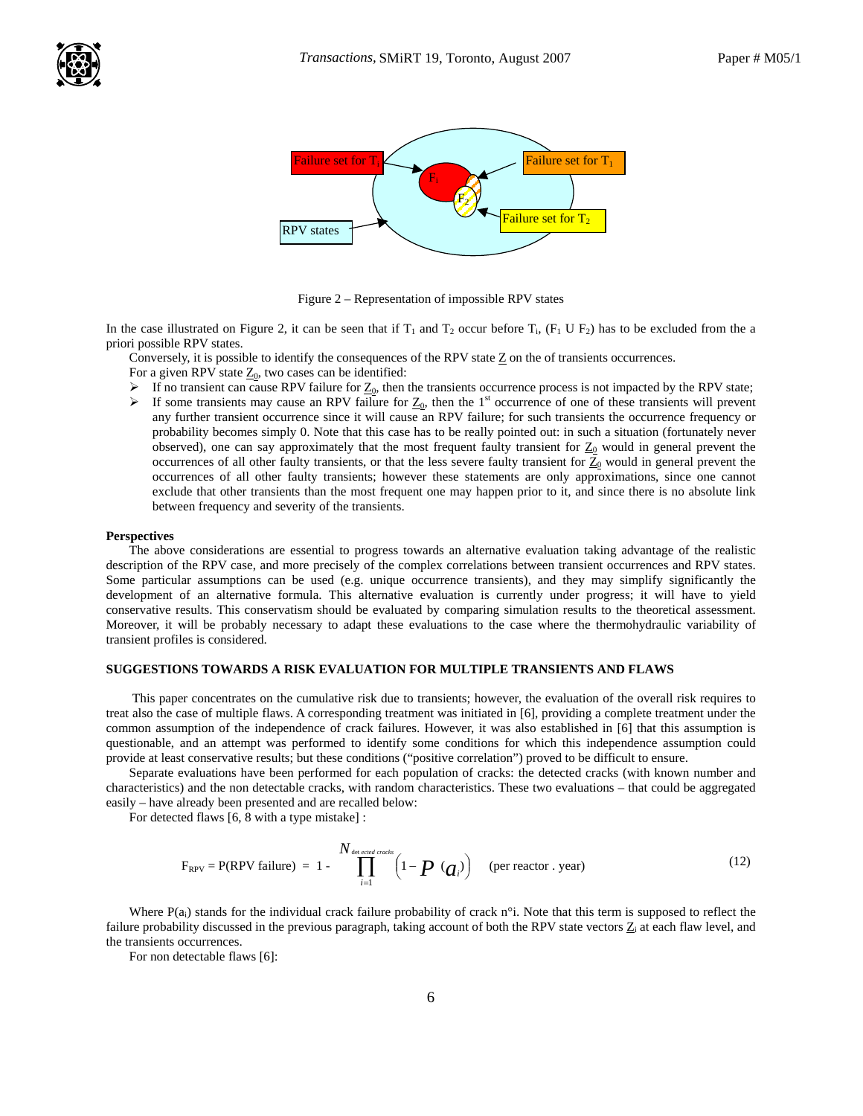

Figure 2 – Representation of impossible RPV states

In the case illustrated on Figure 2, it can be seen that if  $T_1$  and  $T_2$  occur before  $T_i$ ,  $(F_1 \cup F_2)$  has to be excluded from the a priori possible RPV states.

Conversely, it is possible to identify the consequences of the RPV state  $Z$  on the of transients occurrences.

For a given RPV state  $Z_0$ , two cases can be identified:

- 
- ► If no transient can cause RPV failure for  $Z_0$ , then the transients occurrence process is not impacted by the RPV state;<br>► If some transients may cause an RPV failure for  $Z_0$ , then the 1<sup>st</sup> occurrence of one of the If some transients may cause an RPV failure for  $\underline{Z}_0$ , then the 1<sup>st</sup> occurrence of one of these transients will prevent any further transient occurrence since it will cause an RPV failure; for such transients the occurrence frequency or probability becomes simply 0. Note that this case has to be really pointed out: in such a situation (fortunately never observed), one can say approximately that the most frequent faulty transient for  $\underline{Z_0}$  would in general prevent the occurrences of all other faulty transients, or that the less severe faulty transient for  $Z_0$  would in general prevent the occurrences of all other faulty transients; however these statements are only approximations, since one cannot exclude that other transients than the most frequent one may happen prior to it, and since there is no absolute link between frequency and severity of the transients.

#### **Perspectives**

The above considerations are essential to progress towards an alternative evaluation taking advantage of the realistic description of the RPV case, and more precisely of the complex correlations between transient occurrences and RPV states. Some particular assumptions can be used (e.g. unique occurrence transients), and they may simplify significantly the development of an alternative formula. This alternative evaluation is currently under progress; it will have to yield conservative results. This conservatism should be evaluated by comparing simulation results to the theoretical assessment. Moreover, it will be probably necessary to adapt these evaluations to the case where the thermohydraulic variability of transient profiles is considered.

### **SUGGESTIONS TOWARDS A RISK EVALUATION FOR MULTIPLE TRANSIENTS AND FLAWS**

 This paper concentrates on the cumulative risk due to transients; however, the evaluation of the overall risk requires to treat also the case of multiple flaws. A corresponding treatment was initiated in [6], providing a complete treatment under the common assumption of the independence of crack failures. However, it was also established in [6] that this assumption is questionable, and an attempt was performed to identify some conditions for which this independence assumption could provide at least conservative results; but these conditions ("positive correlation") proved to be difficult to ensure.

Separate evaluations have been performed for each population of cracks: the detected cracks (with known number and characteristics) and the non detectable cracks, with random characteristics. These two evaluations – that could be aggregated easily – have already been presented and are recalled below:

For detected flaws [6, 8 with a type mistake] :

$$
F_{RPV} = P(RPV failure) = 1 - \prod_{i=1}^{N_{\text{detected cards}}} \left(1 - \boldsymbol{P}(\boldsymbol{a}_i)\right) \quad \text{(per reactor . year)} \tag{12}
$$

Where  $P(a_i)$  stands for the individual crack failure probability of crack n°i. Note that this term is supposed to reflect the failure probability discussed in the previous paragraph, taking account of both the RPV state vectors  $Z_i$  at each flaw level, and the transients occurrences.

For non detectable flaws [6]: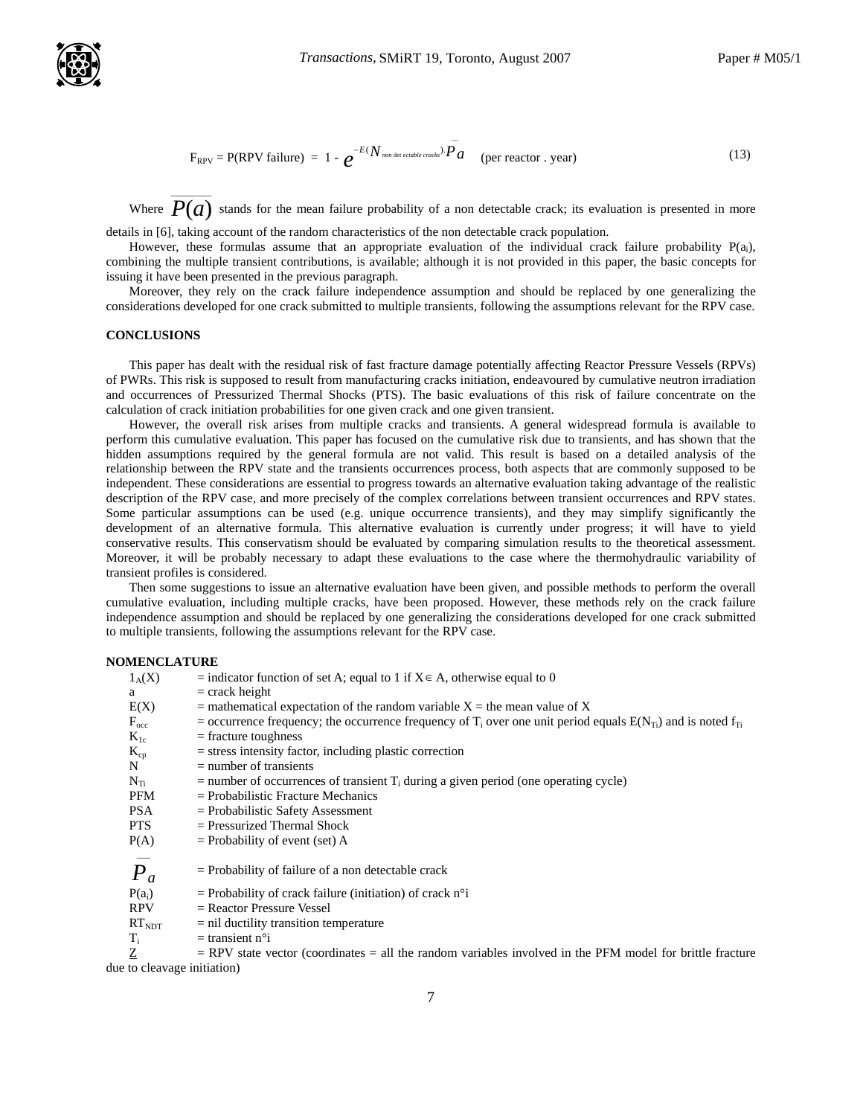

$$
F_{RPV} = P(RPV failure) = 1 - e^{-E(N_{non\text{ det ecable} (crack)})}P a
$$
 (per reactor . year) (13)

 $\overline{a}$ 

Where  $\overline{P(a)}$  stands for the mean failure probability of a non detectable crack; its evaluation is presented in more

details in [6], taking account of the random characteristics of the non detectable crack population.

However, these formulas assume that an appropriate evaluation of the individual crack failure probability P(ai), combining the multiple transient contributions, is available; although it is not provided in this paper, the basic concepts for issuing it have been presented in the previous paragraph.

Moreover, they rely on the crack failure independence assumption and should be replaced by one generalizing the considerations developed for one crack submitted to multiple transients, following the assumptions relevant for the RPV case.

# **CONCLUSIONS**

This paper has dealt with the residual risk of fast fracture damage potentially affecting Reactor Pressure Vessels (RPVs) of PWRs. This risk is supposed to result from manufacturing cracks initiation, endeavoured by cumulative neutron irradiation and occurrences of Pressurized Thermal Shocks (PTS). The basic evaluations of this risk of failure concentrate on the calculation of crack initiation probabilities for one given crack and one given transient.

However, the overall risk arises from multiple cracks and transients. A general widespread formula is available to perform this cumulative evaluation. This paper has focused on the cumulative risk due to transients, and has shown that the hidden assumptions required by the general formula are not valid. This result is based on a detailed analysis of the relationship between the RPV state and the transients occurrences process, both aspects that are commonly supposed to be independent. These considerations are essential to progress towards an alternative evaluation taking advantage of the realistic description of the RPV case, and more precisely of the complex correlations between transient occurrences and RPV states. Some particular assumptions can be used (e.g. unique occurrence transients), and they may simplify significantly the development of an alternative formula. This alternative evaluation is currently under progress; it will have to yield conservative results. This conservatism should be evaluated by comparing simulation results to the theoretical assessment. Moreover, it will be probably necessary to adapt these evaluations to the case where the thermohydraulic variability of transient profiles is considered.

Then some suggestions to issue an alternative evaluation have been given, and possible methods to perform the overall cumulative evaluation, including multiple cracks, have been proposed. However, these methods rely on the crack failure independence assumption and should be replaced by one generalizing the considerations developed for one crack submitted to multiple transients, following the assumptions relevant for the RPV case.

#### **NOMENCLATURE**

| $1_A(X)$         | = indicator function of set A; equal to 1 if $X \in A$ , otherwise equal to 0                                                      |
|------------------|------------------------------------------------------------------------------------------------------------------------------------|
| a                | $=$ crack height                                                                                                                   |
| E(X)             | $=$ mathematical expectation of the random variable $X =$ the mean value of X                                                      |
| $F_{\rm occ}$    | = occurrence frequency; the occurrence frequency of T <sub>i</sub> over one unit period equals $E(N_{T_i})$ and is noted $f_{T_i}$ |
| $K_{1c}$         | $=$ fracture toughness                                                                                                             |
| $K_{cp}$         | $=$ stress intensity factor, including plastic correction                                                                          |
| N                | $=$ number of transients                                                                                                           |
| $N_{Ti}$         | $=$ number of occurrences of transient $T_i$ during a given period (one operating cycle)                                           |
| PFM              | $=$ Probabilistic Fracture Mechanics                                                                                               |
| <b>PSA</b>       | $=$ Probabilistic Safety Assessment                                                                                                |
| <b>PTS</b>       | $=$ Pressurized Thermal Shock                                                                                                      |
| P(A)             | $=$ Probability of event (set) A                                                                                                   |
|                  |                                                                                                                                    |
| $\overline{P}_a$ | $=$ Probability of failure of a non detectable crack                                                                               |
| $P(a_i)$         | $=$ Probability of crack failure (initiation) of crack n <sup>o</sup> i                                                            |
| <b>RPV</b>       | $=$ Reactor Pressure Vessel                                                                                                        |
| $RT_{NDT}$       | $=$ nil ductility transition temperature                                                                                           |
| $T_i$            | $=$ transient n <sup>o</sup> i                                                                                                     |

 $Z = RPV$  state vector (coordinates = all the random variables involved in the PFM model for brittle fracture due to cleavage initiation)